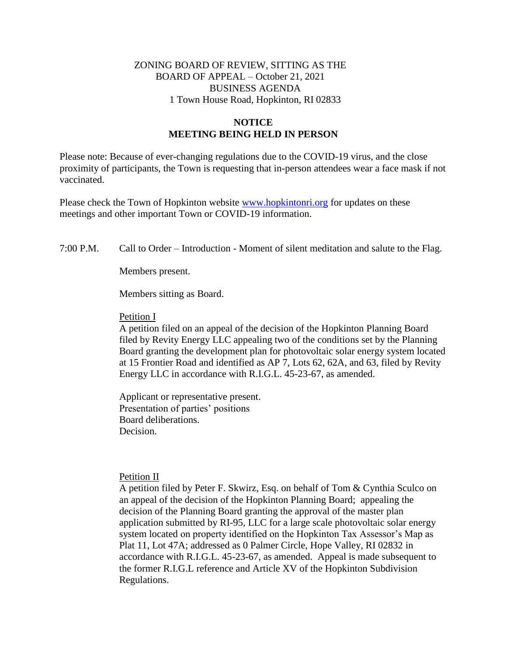# ZONING BOARD OF REVIEW, SITTING AS THE BOARD OF APPEAL – October 21, 2021 BUSINESS AGENDA 1 Town House Road, Hopkinton, RI 02833

## **NOTICE MEETING BEING HELD IN PERSON**

Please note: Because of ever-changing regulations due to the COVID-19 virus, and the close proximity of participants, the Town is requesting that in-person attendees wear a face mask if not vaccinated.

Please check the Town of Hopkinton website [www.hopkintonri.org](http://www.hopkintonri.org/) for updates on these meetings and other important Town or COVID-19 information.

### 7:00 P.M. Call to Order – Introduction - Moment of silent meditation and salute to the Flag.

Members present.

Members sitting as Board.

#### Petition I

A petition filed on an appeal of the decision of the Hopkinton Planning Board filed by Revity Energy LLC appealing two of the conditions set by the Planning Board granting the development plan for photovoltaic solar energy system located at 15 Frontier Road and identified as AP 7, Lots 62, 62A, and 63, filed by Revity Energy LLC in accordance with R.I.G.L. 45-23-67, as amended.

Applicant or representative present. Presentation of parties' positions Board deliberations. Decision.

#### Petition II

A petition filed by Peter F. Skwirz, Esq. on behalf of Tom & Cynthia Sculco on an appeal of the decision of the Hopkinton Planning Board; appealing the decision of the Planning Board granting the approval of the master plan application submitted by RI-95, LLC for a large scale photovoltaic solar energy system located on property identified on the Hopkinton Tax Assessor's Map as Plat 11, Lot 47A; addressed as 0 Palmer Circle, Hope Valley, RI 02832 in accordance with R.I.G.L. 45-23-67, as amended. Appeal is made subsequent to the former R.I.G.L reference and Article XV of the Hopkinton Subdivision Regulations.